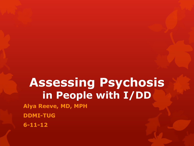# **Assessing Psychosis in People with I/DD**

**Alya Reeve, MD, MPH**

**DDMI-TUG** 

**6-11-12**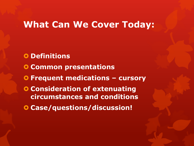#### **What Can We Cover Today:**

- **O** Definitions
- **Common presentations**
- **Frequent medications – cursory**
- **Consideration of extenuating circumstances and conditions**
- **Case/questions/discussion!**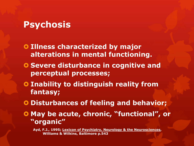#### **Psychosis**

- **O Illness characterized by major alterations in mental functioning.**
- **O** Severe disturbance in cognitive and **perceptual processes;**
- **O** Inability to distinguish reality from **fantasy;**
- **Disturbances of feeling and behavior;**
- **May be acute, chronic, "functional", or "organic"**

**Ayd, F.J., 1995; Lexicon of Psychiatry, Neurology & the Neurosciences, Williams & Wilkins, Baltimore p.543**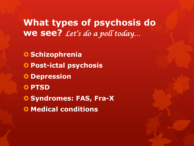## **What types of psychosis do we see?** *Let's do a poll today…*

**O** Schizophrenia **Post-ictal psychosis O** Depression **O** PTSD **O Syndromes: FAS, Fra-X O** Medical conditions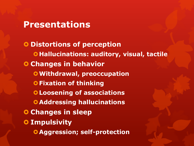#### **Presentations**

**O Distortions of perception O**Hallucinations: auditory, visual, tactile **O Changes in behavior Withdrawal, preoccupation O Fixation of thinking Loosening of associations Addressing hallucinations Changes in sleep O** Impulsivity **Aggression; self-protection**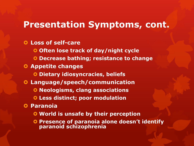#### **Presentation Symptoms, cont.**

#### **Loss of self-care**

**O** Often lose track of day/night cycle

**Decrease bathing; resistance to change**

#### **Appetite changes**

**Dietary idiosyncracies, beliefs**

- **Language/speech/communication**
	- **O** Neologisms, clang associations
	- **Less distinct; poor modulation**

#### **Paranoia**

- **World is unsafe by their perception**
- **Presence of paranoia alone doesn't identify paranoid schizophrenia**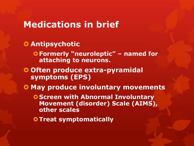- **Antipsychotic Formerly "neuroleptic" – named for attaching to neurons. Often produce extra-pyramidal symptoms (EPS)**  $O$  **May produce involuntary movements O Screen with Abnormal Involuntary Movement (disorder) Scale (AIMS), other scales**
	- **O Treat symptomatically**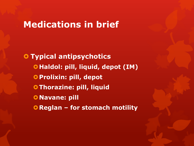**O** Typical antipsychotics **Haldol: pill, liquid, depot (IM) Prolixin: pill, depot OThorazine: pill, liquid O** Navane: pill **Reglan – for stomach motility**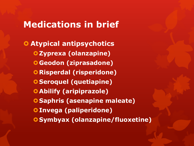**Atypical antipsychotics Zyprexa (olanzapine) Geodon (ziprasadone) O** Risperdal (risperidone) **O** Seroquel (quetiapine) **Abilify (aripiprazole) Saphris (asenapine maleate) Invega (paliperidone) Symbyax (olanzapine/fluoxetine)**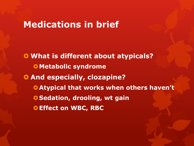**What is different about atypicals? O** Metabolic syndrome **Q And especially, clozapine? Atypical that works when others haven't O** Sedation, drooling, wt gain **Effect on WBC, RBC**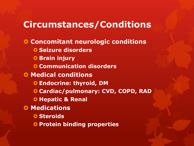## **Circumstances/Conditions**

**CONCOMITANT NEUROLOGIC CONDITIONS O Seizure disorders O** Brain injury **O** Communication disorders **O** Medical conditions **Endocrine: thyroid, DM Cardiac/pulmonary: CVD, COPD, RAD O Hepatic & Renal O** Medications **O** Steroids **O** Protein binding properties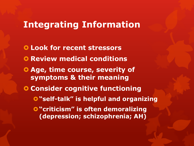## **Integrating Information**

 **Look for recent stressors O** Review medical conditions **Age, time course, severity of symptoms & their meaning Consider cognitive functioning "self-talk" is helpful and organizing O** "criticism" is often demoralizing **(depression; schizophrenia; AH)**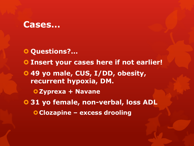#### **Cases…**

- **O** Questions?...
- **Insert your cases here if not earlier!**
- **49 yo male, CUS, I/DD, obesity, recurrent hypoxia, DM.**
	- **Zyprexa + Navane**
- **31 yo female, non-verbal, loss ADL**
	- **Clozapine – excess drooling**